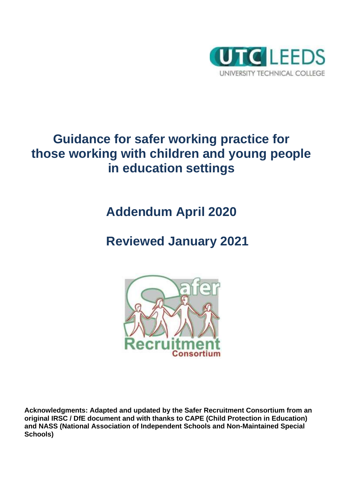

# **Guidance for safer working practice for those working with children and young people in education settings**

# **Addendum April 2020**

# **Reviewed January 2021**



**Acknowledgments: Adapted and updated by the Safer Recruitment Consortium from an original IRSC / DfE document and with thanks to CAPE (Child Protection in Education) and NASS (National Association of Independent Schools and Non-Maintained Special Schools)**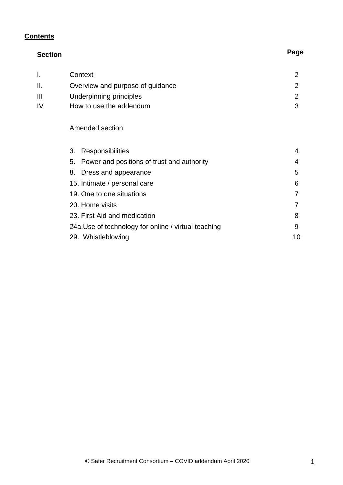# **Contents**

| <b>Section</b> |                                                      | Page |
|----------------|------------------------------------------------------|------|
| Ι.             | Context                                              | 2    |
| Ⅱ.             | Overview and purpose of guidance                     | 2    |
| $\mathbf{III}$ | Underpinning principles                              | 2    |
| IV             | How to use the addendum                              | 3    |
|                | Amended section                                      |      |
|                | 3.<br><b>Responsibilities</b>                        | 4    |
|                | Power and positions of trust and authority<br>5.     | 4    |
|                | Dress and appearance<br>8.                           | 5    |
|                | 15. Intimate / personal care                         | 6    |
|                | 19. One to one situations                            |      |
|                | 20. Home visits                                      |      |
|                | 23. First Aid and medication                         | 8    |
|                | 24a. Use of technology for online / virtual teaching | 9    |
|                | 29. Whistleblowing                                   | 10   |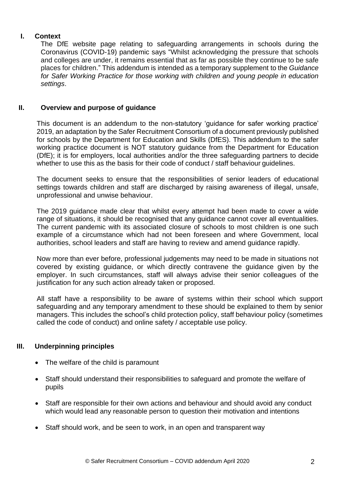# **I. Context**

The DfE website page relating to safeguarding arrangements in schools during the Coronavirus (COVID-19) pandemic says "Whilst acknowledging the pressure that schools and colleges are under, it remains essential that as far as possible they continue to be safe places for children." This addendum is intended as a temporary supplement to the *Guidance for Safer Working Practice for those working with children and young people in education settings*.

# **II. Overview and purpose of guidance**

This document is an addendum to the non-statutory 'guidance for safer working practice' 2019, an adaptation by the Safer Recruitment Consortium of a document previously published for schools by the Department for Education and Skills (DfES). This addendum to the safer working practice document is NOT statutory guidance from the Department for Education (DfE); it is for employers, local authorities and/or the three safeguarding partners to decide whether to use this as the basis for their code of conduct / staff behaviour guidelines.

The document seeks to ensure that the responsibilities of senior leaders of educational settings towards children and staff are discharged by raising awareness of illegal, unsafe, unprofessional and unwise behaviour.

The 2019 guidance made clear that whilst every attempt had been made to cover a wide range of situations, it should be recognised that any guidance cannot cover all eventualities. The current pandemic with its associated closure of schools to most children is one such example of a circumstance which had not been foreseen and where Government, local authorities, school leaders and staff are having to review and amend guidance rapidly.

Now more than ever before, professional judgements may need to be made in situations not covered by existing guidance, or which directly contravene the guidance given by the employer. In such circumstances, staff will always advise their senior colleagues of the justification for any such action already taken or proposed.

All staff have a responsibility to be aware of systems within their school which support safeguarding and any temporary amendment to these should be explained to them by senior managers. This includes the school's child protection policy, staff behaviour policy (sometimes called the code of conduct) and online safety / acceptable use policy.

# **III. Underpinning principles**

- The welfare of the child is paramount
- Staff should understand their responsibilities to safeguard and promote the welfare of pupils
- Staff are responsible for their own actions and behaviour and should avoid any conduct which would lead any reasonable person to question their motivation and intentions
- Staff should work, and be seen to work, in an open and transparent way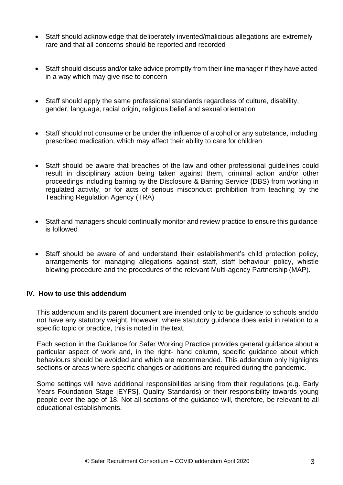- Staff should acknowledge that deliberately invented/malicious allegations are extremely rare and that all concerns should be reported and recorded
- Staff should discuss and/or take advice promptly from their line manager if they have acted in a way which may give rise to concern
- Staff should apply the same professional standards regardless of culture, disability, gender, language, racial origin, religious belief and sexual orientation
- Staff should not consume or be under the influence of alcohol or any substance, including prescribed medication, which may affect their ability to care for children
- Staff should be aware that breaches of the law and other professional guidelines could result in disciplinary action being taken against them, criminal action and/or other proceedings including barring by the Disclosure & Barring Service (DBS) from working in regulated activity, or for acts of serious misconduct prohibition from teaching by the Teaching Regulation Agency (TRA)
- Staff and managers should continually monitor and review practice to ensure this guidance is followed
- Staff should be aware of and understand their establishment's child protection policy, arrangements for managing allegations against staff, staff behaviour policy, whistle blowing procedure and the procedures of the relevant Multi-agency Partnership (MAP).

## **IV. How to use this addendum**

This addendum and its parent document are intended only to be guidance to schools anddo not have any statutory weight. However, where statutory guidance does exist in relation to a specific topic or practice, this is noted in the text.

Each section in the Guidance for Safer Working Practice provides general guidance about a particular aspect of work and, in the right- hand column, specific guidance about which behaviours should be avoided and which are recommended. This addendum only highlights sections or areas where specific changes or additions are required during the pandemic.

Some settings will have additional responsibilities arising from their regulations (e.g. Early Years Foundation Stage [EYFS], Quality Standards) or their responsibility towards young people over the age of 18. Not all sections of the guidance will, therefore, be relevant to all educational establishments.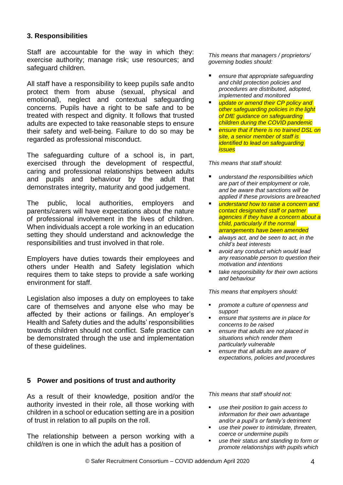## **3. Responsibilities**

Staff are accountable for the way in which they: exercise authority; manage risk; use resources; and safeguard children.

All staff have a responsibility to keep pupils safe andto protect them from abuse (sexual, physical and emotional), neglect and contextual safeguarding concerns. Pupils have a right to be safe and to be treated with respect and dignity. It follows that trusted adults are expected to take reasonable steps to ensure their safety and well-being. Failure to do so may be regarded as professional misconduct.

The safeguarding culture of a school is, in part, exercised through the development of respectful, caring and professional relationships between adults and pupils and behaviour by the adult that demonstrates integrity, maturity and good judgement.

The public, local authorities, employers and parents/carers will have expectations about the nature of professional involvement in the lives of children. When individuals accept a role working in an education setting they should understand and acknowledge the responsibilities and trust involved in that role.

Employers have duties towards their employees and others under Health and Safety legislation which requires them to take steps to provide a safe working environment for staff.

Legislation also imposes a duty on employees to take care of themselves and anyone else who may be affected by their actions or failings. An employer's Health and Safety duties and the adults' responsibilities towards children should not conflict. Safe practice can be demonstrated through the use and implementation of these guidelines.

## **5 Power and positions of trust and authority**

As a result of their knowledge, position and/or the authority invested in their role, all those working with children in a school or education setting are in a position of trust in relation to all pupils on the roll.

The relationship between a person working with a child/ren is one in which the adult has a position of

*This means that managers / proprietors/ governing bodies should:*

- *ensure that appropriate safeguarding and child protection policies and procedures are distributed, adopted, implemented and monitored*
- *update or amend their CP policy and other safeguarding policies in the light of DfE guidance on safeguarding children during the COVID pandemic*
- *ensure that if there is no trained DSL on site, a senior member of staff is identified to lead on safeguarding issues*

*This means that staff should:*

- *understand the responsibilities which are part of their employment or role, and be aware that sanctions will be applied if these provisions are breached*
- *understand how to raise a concern and contact designated staff or partner agencies if they have a concern about a child, particularly if the normal arrangements have been amended*
- *always act, and be seen to act, in the child's best interests*
- *avoid any conduct which would lead any reasonable person to question their motivation and intentions*
- *take responsibility for their own actions and behaviour*

*This means that employers should:*

- *promote a culture of openness and support*
- *ensure that systems are in place for concerns to be raised*
- *ensure that adults are not placed in situations which render them particularly vulnerable*
- *ensure that all adults are aware of expectations, policies and procedures*

*This means that staff should not:*

- *use their position to gain access to information for their own advantage and/or a pupil's or family's detriment*
- *use their power to intimidate, threaten, coerce or undermine pupils*
- *use their status and standing to form or promote relationships with pupils which*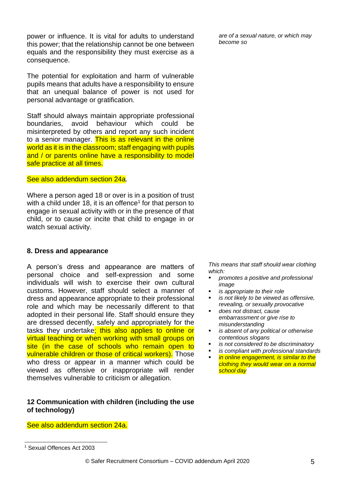power or influence. It is vital for adults to understand this power; that the relationship cannot be one between equals and the responsibility they must exercise as a consequence.

The potential for exploitation and harm of vulnerable pupils means that adults have a responsibility to ensure that an unequal balance of power is not used for personal advantage or gratification.

Staff should always maintain appropriate professional boundaries, avoid behaviour which could be misinterpreted by others and report any such incident to a senior manager. This is as relevant in the online world as it is in the classroom; staff engaging with pupils and / or parents online have a responsibility to model safe practice at all times.

#### See also addendum section 24a.

Where a person aged 18 or over is in a position of trust with a child under 18, it is an offence<sup>1</sup> for that person to engage in sexual activity with or in the presence of that child, or to cause or incite that child to engage in or watch sexual activity.

#### **8. Dress and appearance**

A person's dress and appearance are matters of personal choice and self-expression and some individuals will wish to exercise their own cultural customs. However, staff should select a manner of dress and appearance appropriate to their professional role and which may be necessarily different to that adopted in their personal life. Staff should ensure they are dressed decently, safely and appropriately for the tasks they undertake; this also applies to online or virtual teaching or when working with small groups on site (in the case of schools who remain open to vulnerable children or those of critical workers). Those who dress or appear in a manner which could be viewed as offensive or inappropriate will render themselves vulnerable to criticism or allegation.

## **12 Communication with children (including the use of technology)**

See also addendum section 24a.

*are of a sexual nature, or which may become so*

*This means that staff should wear clothing which:*

- *promotes a positive and professional image*
- *is appropriate to their role*

*school day*

- *is not likely to be viewed as offensive, revealing, or sexually provocative*
- *does not distract, cause embarrassment or give rise to misunderstanding*
- *is absent of any political or otherwise contentious slogans*
- *is not considered to be discriminatory*
- *is compliant with professional standards in online engagement, is similar to the clothing they would wear on a normal*

© Safer Recruitment Consortium – COVID addendum April 2020 5

<sup>1</sup> Sexual Offences Act 2003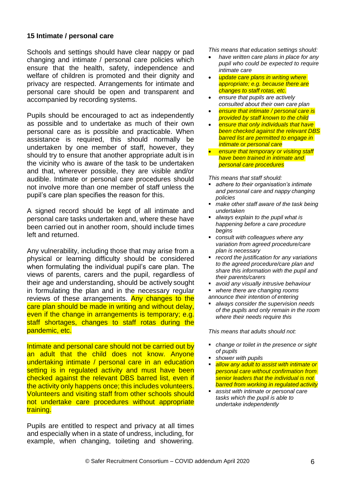## **15 Intimate / personal care**

Schools and settings should have clear nappy or pad changing and intimate / personal care policies which ensure that the health, safety, independence and welfare of children is promoted and their dignity and privacy are respected. Arrangements for intimate and personal care should be open and transparent and accompanied by recording systems.

Pupils should be encouraged to act as independently as possible and to undertake as much of their own personal care as is possible and practicable. When assistance is required, this should normally be undertaken by one member of staff, however, they should try to ensure that another appropriate adult is in the vicinity who is aware of the task to be undertaken and that, wherever possible, they are visible and/or audible. Intimate or personal care procedures should not involve more than one member of staff unless the pupil's care plan specifies the reason for this.

A signed record should be kept of all intimate and personal care tasks undertaken and, where these have been carried out in another room, should include times left and returned.

Any vulnerability, including those that may arise from a physical or learning difficulty should be considered when formulating the individual pupil's care plan. The views of parents, carers and the pupil, regardless of their age and understanding, should be actively sought in formulating the plan and in the necessary regular reviews of these arrangements. Any changes to the care plan should be made in writing and without delay, even if the change in arrangements is temporary; e.g. staff shortages, changes to staff rotas during the pandemic, etc.

Intimate and personal care should not be carried out by an adult that the child does not know. Anyone undertaking intimate / personal care in an education setting is in regulated activity and must have been checked against the relevant DBS barred list, even if the activity only happens once; this includes volunteers. Volunteers and visiting staff from other schools should not undertake care procedures without appropriate training.

Pupils are entitled to respect and privacy at all times and especially when in a state of undress, including, for example, when changing, toileting and showering.

*This means that education settings should:*

- *have written care plans in place for any pupil who could be expected to require intimate care*
- *update care plans in writing where appropriate; e.g. because there are changes to staff rotas, etc.*
- *ensure that pupils are actively consulted about their own care plan*
- *ensure that intimate / personal care is provided by staff known to the child*
- *ensure that only individuals that have been checked against the relevant DBS barred list are permitted to engage in intimate or personal care*
- *ensure that temporary or visiting staff have been trained in intimate and personal care procedures*

*This means that staff should:*

- *adhere to their organisation's intimate and personal care and nappy changing policies*
- *make other staff aware of the task being undertaken*
- *always explain to the pupil what is happening before a care procedure begins*
- *consult with colleagues where any variation from agreed procedure/care plan is necessary*
- *record the justification for any variations to the agreed procedure/care plan and share this information with the pupil and their parents/carers*
- *avoid any visually intrusive behaviour*
- *where there are changing rooms announce their intention of entering*
- *always consider the supervision needs of the pupils and only remain in the room where their needs require this*

*This means that adults should not:*

- *change or toilet in the presence or sight of pupils*
- *shower with pupils*
- *allow any adult to assist with intimate or personal care without confirmation from senior leaders that the individual is not barred from working in regulated activity*
- *assist with intimate or personal care tasks which the pupil is able to undertake independently*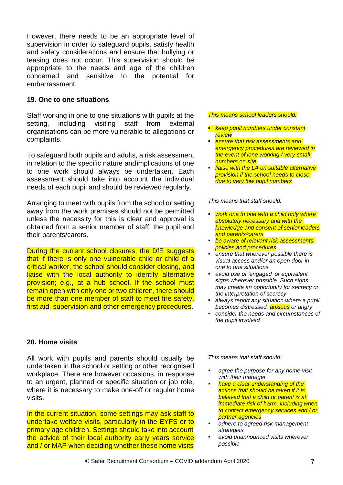However, there needs to be an appropriate level of supervision in order to safeguard pupils, satisfy health and safety considerations and ensure that bullying or teasing does not occur. This supervision should be appropriate to the needs and age of the children concerned and sensitive to the potential for embarrassment.

### **19. One to one situations**

Staff working in one to one situations with pupils at the setting, including visiting staff from external organisations can be more vulnerable to allegations or complaints.

To safeguard both pupils and adults, a risk assessment in relation to the specific nature andimplications of one to one work should always be undertaken. Each assessment should take into account the individual needs of each pupil and should be reviewed regularly.

Arranging to meet with pupils from the school or setting away from the work premises should not be permitted unless the necessity for this is clear and approval is obtained from a senior member of staff, the pupil and their parents/carers.

During the current school closures, the DfE suggests that if there is only one vulnerable child or child of a critical worker, the school should consider closing, and liaise with the local authority to identify alternative provision; e.g., at a hub school. If the school must remain open with only one or two children, there should be more than one member of staff to meet fire safety, first aid, supervision and other emergency procedures.

#### **20. Home visits**

All work with pupils and parents should usually be undertaken in the school or setting or other recognised workplace. There are however occasions, in response to an urgent, planned or specific situation or job role, where it is necessary to make one-off or regular home visits.

In the current situation, some settings may ask staff to undertake welfare visits, particularly in the EYFS or to primary age children. Settings should take into account the advice of their local authority early years service and / or MAP when deciding whether these home visits

#### *This means school leaders should:*

- *keep pupil numbers under constant review*
- *ensure that risk assessments and emergency procedures are reviewed in the event of lone working / very small numbers on site*
- *liaise with the LA on suitable alternative provision if the school needs to close due to very low pupil numbers*

*This means that staff should:*

- *work one to one with a child only where absolutely necessary and with the knowledge and consent of senior leaders and parents/carers*
- *be aware of relevant risk assessments, policies and procedures*
- *ensure that wherever possible there is visual access and/or an open door in one to one situations*
- *avoid use of 'engaged' or equivalent signs wherever possible. Such signs may create an opportunity for secrecy or the interpretation of secrecy*
- *always report any situation where a pupil becomes distressed, anxious or angry*
- *consider the needs and circumstances of the pupil involved*

*This means that staff should:*

- *agree the purpose for any home visit with their manager*
- *have a clear understanding of the actions that should be taken if it is believed that a child or parent is at immediate risk of harm, including when to contact emergency services and / or partner agencies*
- *adhere to agreed risk management strategies*
- *avoid unannounced visits wherever possible*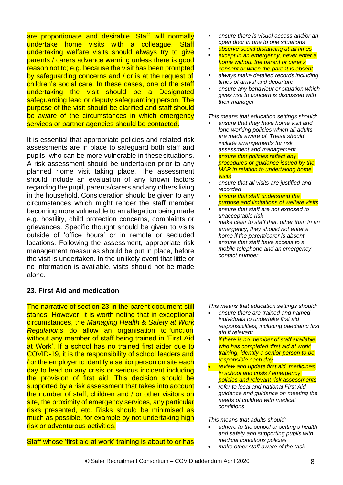are proportionate and desirable. Staff will normally undertake home visits with a colleague. Staff undertaking welfare visits should always try to give parents / carers advance warning unless there is good reason not to; e.g. because the visit has been prompted by safeguarding concerns and / or is at the request of children's social care. In these cases, one of the staff undertaking the visit should be a Designated safeguarding lead or deputy safeguarding person. The purpose of the visit should be clarified and staff should be aware of the circumstances in which emergency services or partner agencies should be contacted.

It is essential that appropriate policies and related risk assessments are in place to safeguard both staff and pupils, who can be more vulnerable in thesesituations. A risk assessment should be undertaken prior to any planned home visit taking place. The assessment should include an evaluation of any known factors regarding the pupil, parents/carers and any others living in the household. Consideration should be given to any circumstances which might render the staff member becoming more vulnerable to an allegation being made e.g. hostility, child protection concerns, complaints or grievances. Specific thought should be given to visits outside of 'office hours' or in remote or secluded locations. Following the assessment, appropriate risk management measures should be put in place, before the visit is undertaken. In the unlikely event that little or no information is available, visits should not be made alone.

# **23. First Aid and medication**

The narrative of section 23 in the parent document still stands. However, it is worth noting that in exceptional circumstances, the *Managing Health & Safety at Work Regulations* do allow an organisation to function without any member of staff being trained in 'First Aid at Work'. If a school has no trained first aider due to COVID-19, it is the responsibility of school leaders and / or the employer to identify a senior person on site each day to lead on any crisis or serious incident including the provision of first aid. This decision should be supported by a risk assessment that takes into account the number of staff, children and / or other visitors on site, the proximity of emergency services, any particular risks presented, etc. Risks should be minimised as much as possible, for example by not undertaking high risk or adventurous activities.

Staff whose 'first aid at work' training is about to or has

- *ensure there is visual access and/or an open door in one to one situations*
- *observe social distancing at all times*
- *except in an emergency, never enter a home without the parent or carer's consent or when the parent is absent*
- *always make detailed records including times of arrival and departure*
- *ensure any behaviour or situation which gives rise to concern is discussed with their manager*

*This means that education settings should:*

- *ensure that they have home visit and lone-working policies which all adults are made aware of. These should include arrangements for risk assessment and management*
- *ensure that policies reflect any procedures or guidance issued by the MAP in relation to undertaking home visits*
- *ensure that all visits are justified and recorded*
- *ensure that staff understand the purpose and limitations of welfare visits*
- *ensure that staff are not exposed to unacceptable risk*
- *make clear to staff that, other than in an emergency, they should not enter a home if the parent/carer is absent*
- *ensure that staff have access to a mobile telephone and an emergency contact number*

*This means that education settings should:*

- *ensure there are trained and named individuals to undertake first aid responsibilities, including paediatric first aid if relevant*
- *if there is no member of staff available who has completed 'first aid at work' training, identify a senior person to be responsible each day*
- *review and update first aid, medicines in school and crisis / emergency policies and relevant risk assessments*
- *refer to local and national First Aid guidance and guidance on meeting the needs of children with medical conditions*

*This means that adults should:*

- *adhere to the school or setting's health and safety and supporting pupils with medical conditions policies*
- *make other staff aware of the task*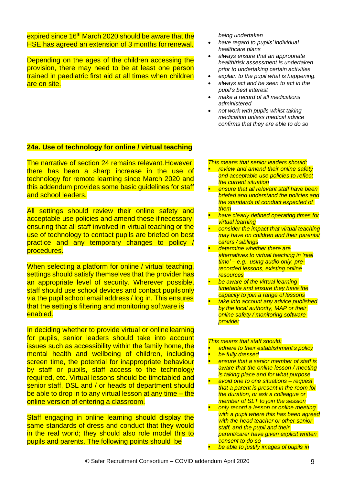expired since 16<sup>th</sup> March 2020 should be aware that the HSE has agreed an extension of 3 months forrenewal.

Depending on the ages of the children accessing the provision, there may need to be at least one person trained in paediatric first aid at all times when children are on site.

*being undertaken*

- *have regard to pupils' individual healthcare plans*
- *always ensure that an appropriate health/risk assessment is undertaken prior to undertaking certain activities*
- *explain to the pupil what is happening.*
- *always act and be seen to act in the pupil's best interest*
- *make a record of all medications administered*
- *not work with pupils whilst taking medication unless medical advice confirms that they are able to do so*

### **24a. Use of technology for online / virtual teaching**

The narrative of section 24 remains relevant.However, there has been a sharp increase in the use of technology for remote learning since March 2020 and this addendum provides some basic guidelines for staff and school leaders.

All settings should review their online safety and acceptable use policies and amend these if necessary, ensuring that all staff involved in virtual teaching or the use of technology to contact pupils are briefed on best practice and any temporary changes to policy / procedures.

When selecting a platform for online / virtual teaching. settings should satisfy themselves that the provider has an appropriate level of security. Wherever possible, staff should use school devices and contact pupils only via the pupil school email address / log in. This ensures that the setting's filtering and monitoring software is enabled.

In deciding whether to provide virtual or online learning for pupils, senior leaders should take into account issues such as accessibility within the family home, the mental health and wellbeing of children, including screen time, the potential for inappropriate behaviour by staff or pupils, staff access to the technology required, etc. Virtual lessons should be timetabled and senior staff, DSL and / or heads of department should be able to drop in to any virtual lesson at any time – the online version of entering a classroom.

Staff engaging in online learning should display the same standards of dress and conduct that they would in the real world; they should also role model this to pupils and parents. The following points should be

*This means that senior leaders should:*

- *review and amend their online safety and acceptable use policies to reflect the current situation*
- *ensure that all relevant staff have been briefed and understand the policies and the standards of conduct expected of them*
- *have clearly defined operating times for virtual learning*
- *consider the impact that virtual teaching may have on children and their parents/ carers / siblings*
- **determine whether there are** *alternatives to virtual teaching in 'real time' – e.g., using audio only, prerecorded lessons, existing online resources*
- *be aware of the virtual learning timetable and ensure they have the capacity to join a range of lessons*
- *take into account any advice published by the local authority, MAP or their online safety / monitoring software provider*

#### *This means that staff should:*

- *adhere to their establishment's policy*
- *be fully dressed*
- *ensure that a senior member of staff is aware that the online lesson / meeting is taking place and for what purpose*
- *avoid one to one situations – request that a parent is present in the room for the duration, or ask a colleague or member of SLT to join the session*
- *only record a lesson or online meeting with a pupil where this has been agreed with the head teacher or other senior staff, and the pupil and their parent/carer have given explicit written*
- *consent to do so be able to justify images of pupils in*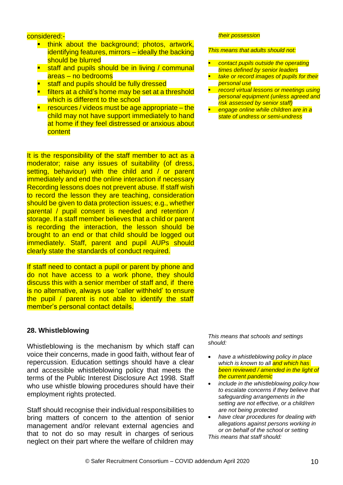#### considered:-

- **think about the background; photos, artwork,** identifying features, mirrors – ideally the backing should be blurred
- staff and pupils should be in living / communal areas – no bedrooms
- staff and pupils should be fully dressed
- filters at a child's home may be set at a threshold which is different to the school
- resources / videos must be age appropriate the child may not have support immediately to hand at home if they feel distressed or anxious about **content**

It is the responsibility of the staff member to act as a moderator; raise any issues of suitability (of dress, setting, behaviour) with the child and / or parent immediately and end the online interaction if necessary Recording lessons does not prevent abuse. If staff wish to record the lesson they are teaching, consideration should be given to data protection issues; e.g., whether parental / pupil consent is needed and retention / storage. If a staff member believes that a child or parent is recording the interaction, the lesson should be brought to an end or that child should be logged out immediately. Staff, parent and pupil AUPs should clearly state the standards of conduct required.

If staff need to contact a pupil or parent by phone and do not have access to a work phone, they should discuss this with a senior member of staff and, if there is no alternative, always use 'caller withheld' to ensure the pupil / parent is not able to identify the staff member's personal contact details.

#### **28. Whistleblowing**

Whistleblowing is the mechanism by which staff can voice their concerns, made in good faith, without fear of repercussion. Education settings should have a clear and accessible whistleblowing policy that meets the terms of the Public Interest Disclosure Act 1998. Staff who use whistle blowing procedures should have their employment rights protected.

Staff should recognise their individual responsibilities to bring matters of concern to the attention of senior management and/or relevant external agencies and that to not do so may result in charges of serious neglect on their part where the welfare of children may

#### *their possession*

#### *This means that adults should not:*

- *contact pupils outside the operating times defined by senior leaders*
- *take or record images of pupils for their personal use*
- *record virtual lessons or meetings using personal equipment (unless agreed and risk assessed by senior staff)*
- *engage online while children are in a state of undress or semi-undress*

*This means that schools and settings should:*

- *have a whistleblowing policy in place which is known to all and which has been reviewed / amended in the light of the current pandemic*
- *include in the whistleblowing policy how to escalate concerns if they believe that safeguarding arrangements in the setting are not effective, or a child/ren are not being protected*
- *have clear procedures for dealing with allegations against persons working in or on behalf of the school or setting This means that staff should:*